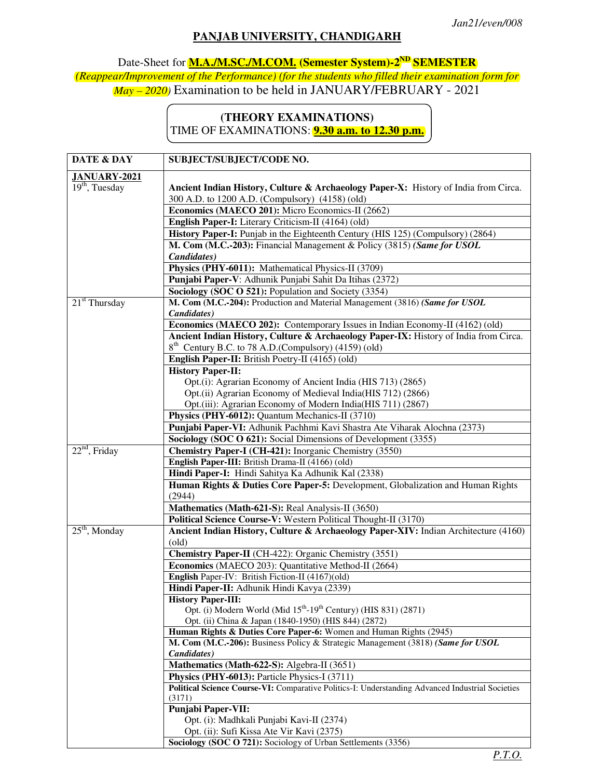## **PANJAB UNIVERSITY, CHANDIGARH**

Date-Sheet for **M.A./M.SC./M.COM. (Semester System)-2ND SEMESTER** *(Reappear/Improvement of the Performance) (for the students who filled their examination form for May – 2020)* Examination to be held in JANUARY/FEBRUARY - 2021

## **(THEORY EXAMINATIONS)**  TIME OF EXAMINATIONS: **9.30 a.m. to 12.30 p.m.**

| DATE & DAY          | SUBJECT/SUBJECT/CODE NO.                                                                                                                             |
|---------------------|------------------------------------------------------------------------------------------------------------------------------------------------------|
| <b>JANUARY-2021</b> |                                                                                                                                                      |
| $19th$ , Tuesday    | Ancient Indian History, Culture & Archaeology Paper-X: History of India from Circa.                                                                  |
|                     | 300 A.D. to 1200 A.D. (Compulsory) (4158) (old)                                                                                                      |
|                     | Economics (MAECO 201): Micro Economics-II (2662)                                                                                                     |
|                     | English Paper-I: Literary Criticism-II (4164) (old)                                                                                                  |
|                     | History Paper-I: Punjab in the Eighteenth Century (HIS 125) (Compulsory) (2864)                                                                      |
|                     | M. Com (M.C.-203): Financial Management & Policy (3815) (Same for USOL                                                                               |
|                     | Candidates)                                                                                                                                          |
|                     | Physics (PHY-6011): Mathematical Physics-II (3709)                                                                                                   |
|                     | Punjabi Paper-V: Adhunik Punjabi Sahit Da Itihas (2372)                                                                                              |
|                     | Sociology (SOC O 521): Population and Society (3354)                                                                                                 |
| $21st$ Thursday     | M. Com (M.C.-204): Production and Material Management (3816) (Same for USOL                                                                          |
|                     | Candidates)                                                                                                                                          |
|                     | Economics (MAECO 202): Contemporary Issues in Indian Economy-II (4162) (old)                                                                         |
|                     | Ancient Indian History, Culture & Archaeology Paper-IX: History of India from Circa.                                                                 |
|                     | 8 <sup>th</sup> Century B.C. to 78 A.D.(Compulsory) (4159) (old)                                                                                     |
|                     | English Paper-II: British Poetry-II (4165) (old)                                                                                                     |
|                     | <b>History Paper-II:</b>                                                                                                                             |
|                     | Opt.(i): Agrarian Economy of Ancient India (HIS 713) (2865)                                                                                          |
|                     | Opt.(ii) Agrarian Economy of Medieval India(HIS 712) (2866)                                                                                          |
|                     | Opt.(iii): Agrarian Economy of Modern India(HIS 711) (2867)                                                                                          |
|                     | Physics (PHY-6012): Quantum Mechanics-II (3710)                                                                                                      |
|                     | Punjabi Paper-VI: Adhunik Pachhmi Kavi Shastra Ate Viharak Alochna (2373)                                                                            |
|                     | Sociology (SOC O 621): Social Dimensions of Development (3355)                                                                                       |
| $22nd$ , Friday     | Chemistry Paper-I (CH-421): Inorganic Chemistry (3550)                                                                                               |
|                     | English Paper-III: British Drama-II (4166) (old)                                                                                                     |
|                     | Hindi Paper-I: Hindi Sahitya Ka Adhunik Kal (2338)                                                                                                   |
|                     | Human Rights & Duties Core Paper-5: Development, Globalization and Human Rights                                                                      |
|                     | (2944)                                                                                                                                               |
|                     | Mathematics (Math-621-S): Real Analysis-II (3650)                                                                                                    |
|                     | Political Science Course-V: Western Political Thought-II (3170)                                                                                      |
| $25th$ , Monday     | Ancient Indian History, Culture & Archaeology Paper-XIV: Indian Architecture (4160)                                                                  |
|                     | $\text{(old)}$                                                                                                                                       |
|                     | Chemistry Paper-II (CH-422): Organic Chemistry (3551)                                                                                                |
|                     | Economics (MAECO 203): Quantitative Method-II (2664)                                                                                                 |
|                     | English Paper-IV: British Fiction-II (4167)(old)                                                                                                     |
|                     | Hindi Paper-II: Adhunik Hindi Kavya (2339)                                                                                                           |
|                     | <b>History Paper-III:</b>                                                                                                                            |
|                     | Opt. (i) Modern World (Mid 15 <sup>th</sup> -19 <sup>th</sup> Century) (HIS 831) (2871)                                                              |
|                     | Opt. (ii) China & Japan (1840-1950) (HIS 844) (2872)                                                                                                 |
|                     | Human Rights & Duties Core Paper-6: Women and Human Rights (2945)<br>M. Com (M.C.-206): Business Policy & Strategic Management (3818) (Same for USOL |
|                     | Candidates)                                                                                                                                          |
|                     | Mathematics (Math-622-S): Algebra-II (3651)                                                                                                          |
|                     | Physics (PHY-6013): Particle Physics-I (3711)                                                                                                        |
|                     | Political Science Course-VI: Comparative Politics-I: Understanding Advanced Industrial Societies                                                     |
|                     | (3171)                                                                                                                                               |
|                     | <b>Punjabi Paper-VII:</b>                                                                                                                            |
|                     | Opt. (i): Madhkali Punjabi Kavi-II (2374)                                                                                                            |
|                     | Opt. (ii): Sufi Kissa Ate Vir Kavi (2375)                                                                                                            |
|                     | Sociology (SOC O 721): Sociology of Urban Settlements (3356)                                                                                         |